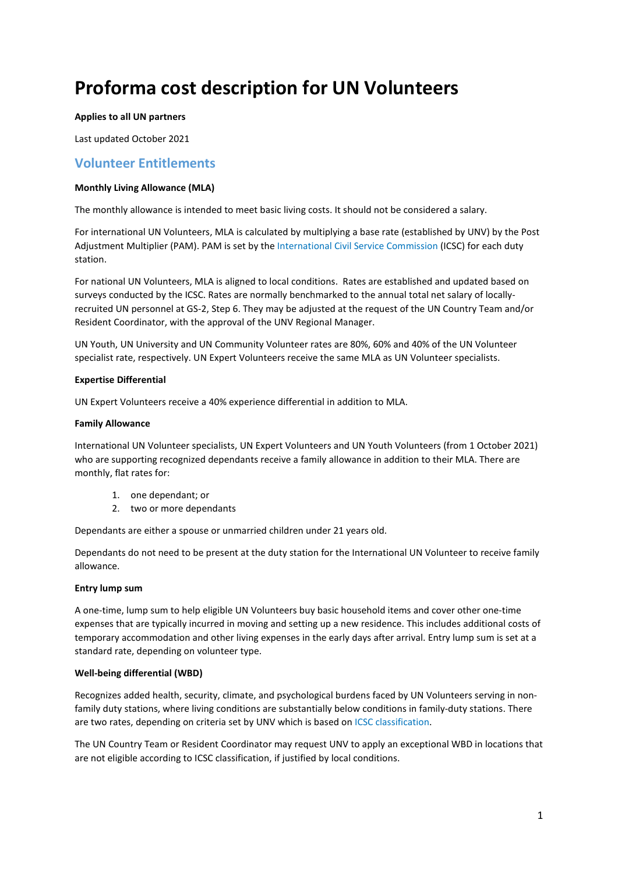# **Proforma cost description for UN Volunteers**

## **Applies to all UN partners**

Last updated October 2021

# **Volunteer Entitlements**

# **Monthly Living Allowance (MLA)**

The monthly allowance is intended to meet basic living costs. It should not be considered a salary.

For international UN Volunteers, MLA is calculated by multiplying a base rate (established by UNV) by the Post Adjustment Multiplier (PAM). PAM is set by the [International Civil Service Commission](https://icsc.un.org/) (ICSC) for each duty station.

For national UN Volunteers, MLA is aligned to local conditions. Rates are established and updated based on surveys conducted by the ICSC. Rates are normally benchmarked to the annual total net salary of locallyrecruited UN personnel at GS-2, Step 6. They may be adjusted at the request of the UN Country Team and/or Resident Coordinator, with the approval of the UNV Regional Manager.

UN Youth, UN University and UN Community Volunteer rates are 80%, 60% and 40% of the UN Volunteer specialist rate, respectively. UN Expert Volunteers receive the same MLA as UN Volunteer specialists.

#### **Expertise Differential**

UN Expert Volunteers receive a 40% experience differential in addition to MLA.

#### **Family Allowance**

International UN Volunteer specialists, UN Expert Volunteers and UN Youth Volunteers (from 1 October 2021) who are supporting recognized dependants receive a family allowance in addition to their MLA. There are monthly, flat rates for:

- 1. one dependant; or
- 2. two or more dependants

Dependants are either a spouse or unmarried children under 21 years old.

Dependants do not need to be present at the duty station for the International UN Volunteer to receive family allowance.

# **Entry lump sum**

A one-time, lump sum to help eligible UN Volunteers buy basic household items and cover other one-time expenses that are typically incurred in moving and setting up a new residence. This includes additional costs of temporary accommodation and other living expenses in the early days after arrival. Entry lump sum is set at a standard rate, depending on volunteer type.

# **Well-being differential (WBD)**

Recognizes added health, security, climate, and psychological burdens faced by UN Volunteers serving in nonfamily duty stations, where living conditions are substantially below conditions in family-duty stations. There are two rates, depending on criteria set by UNV which is based o[n ICSC classification.](https://icsc.un.org/)

The UN Country Team or Resident Coordinator may request UNV to apply an exceptional WBD in locations that are not eligible according to ICSC classification, if justified by local conditions.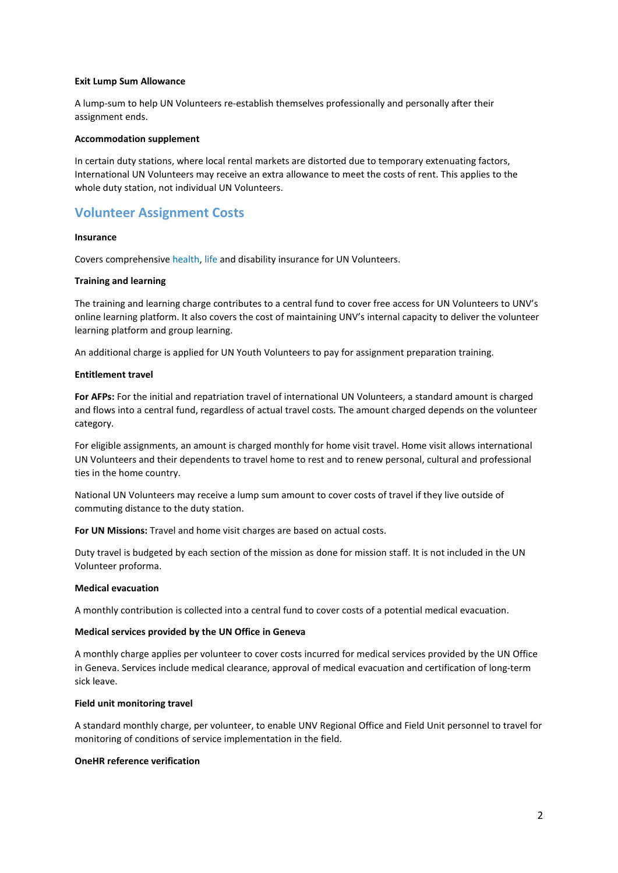#### **Exit Lump Sum Allowance**

A lump-sum to help UN Volunteers re-establish themselves professionally and personally after their assignment ends.

#### **Accommodation supplement**

In certain duty stations, where local rental markets are distorted due to temporary extenuating factors, International UN Volunteers may receive an extra allowance to meet the costs of rent. This applies to the whole duty station, not individual UN Volunteers.

# **Volunteer Assignment Costs**

#### **Insurance**

Covers comprehensiv[e health,](https://www.unv.org/sites/default/files/Cigna%20Insurance%20Policy%20Description_1.pdf) [life](https://www.unv.org/sites/default/files/Cigna%20Life%20Insurance%20Policy_1.pdf) and disability insurance for UN Volunteers.

#### **Training and learning**

The training and learning charge contributes to a central fund to cover free access for UN Volunteers to UNV's online learning platform. It also covers the cost of maintaining UNV's internal capacity to deliver the volunteer learning platform and group learning.

An additional charge is applied for UN Youth Volunteers to pay for assignment preparation training.

#### **Entitlement travel**

**For AFPs:** For the initial and repatriation travel of international UN Volunteers, a standard amount is charged and flows into a central fund, regardless of actual travel costs. The amount charged depends on the volunteer category.

For eligible assignments, an amount is charged monthly for home visit travel. Home visit allows international UN Volunteers and their dependents to travel home to rest and to renew personal, cultural and professional ties in the home country.

National UN Volunteers may receive a lump sum amount to cover costs of travel if they live outside of commuting distance to the duty station.

**For UN Missions:** Travel and home visit charges are based on actual costs.

Duty travel is budgeted by each section of the mission as done for mission staff. It is not included in the UN Volunteer proforma.

#### **Medical evacuation**

A monthly contribution is collected into a central fund to cover costs of a potential medical evacuation.

# **Medical services provided by the UN Office in Geneva**

A monthly charge applies per volunteer to cover costs incurred for medical services provided by the UN Office in Geneva. Services include medical clearance, approval of medical evacuation and certification of long-term sick leave.

#### **Field unit monitoring travel**

A standard monthly charge, per volunteer, to enable UNV Regional Office and Field Unit personnel to travel for monitoring of conditions of service implementation in the field.

# **OneHR reference verification**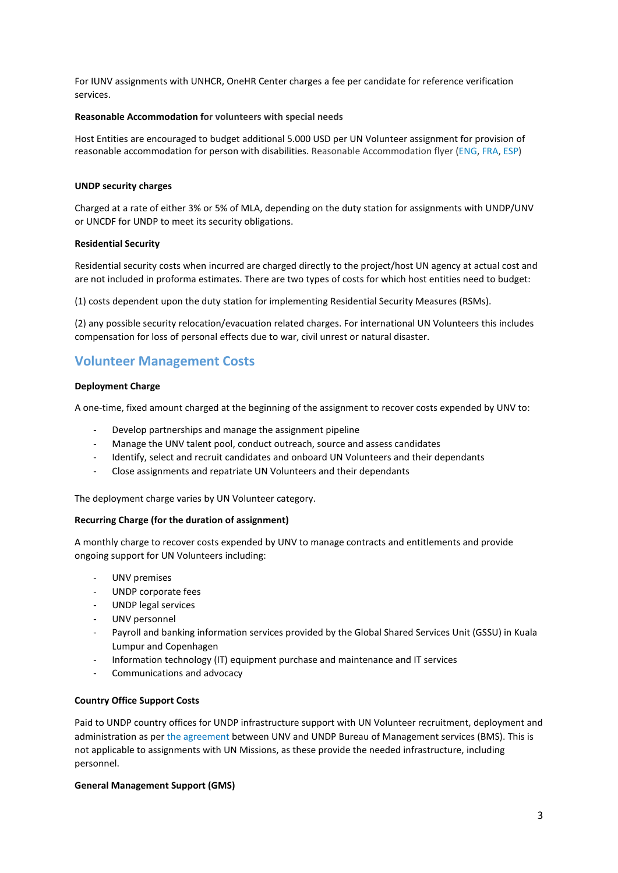For IUNV assignments with UNHCR, OneHR Center charges a fee per candidate for reference verification services.

## **Reasonable Accommodation for volunteers with special needs**

Host Entities are encouraged to budget additional 5.000 USD per UN Volunteer assignment for provision of reasonable accommodation for person with disabilities. Reasonable Accommodation flyer [\(ENG,](https://www.unv.org/sites/default/files/Reasonable%20accommodation.pdf) [FRA,](https://www.unv.org/sites/default/files/Am%C3%A9nagements%20raisonnables.pdf) [ESP\)](https://www.unv.org/sites/default/files/Ajustes%20razonables.pdf)

#### **UNDP security charges**

Charged at a rate of either 3% or 5% of MLA, depending on the duty station for assignments with UNDP/UNV or UNCDF for UNDP to meet its security obligations.

#### **Residential Security**

Residential security costs when incurred are charged directly to the project/host UN agency at actual cost and are not included in proforma estimates. There are two types of costs for which host entities need to budget:

(1) costs dependent upon the duty station for implementing Residential Security Measures (RSMs).

(2) any possible security relocation/evacuation related charges. For international UN Volunteers this includes compensation for loss of personal effects due to war, civil unrest or natural disaster.

# **Volunteer Management Costs**

# **Deployment Charge**

A one-time, fixed amount charged at the beginning of the assignment to recover costs expended by UNV to:

- Develop partnerships and manage the assignment pipeline
- Manage the UNV talent pool, conduct outreach, source and assess candidates
- Identify, select and recruit candidates and onboard UN Volunteers and their dependants
- Close assignments and repatriate UN Volunteers and their dependants

The deployment charge varies by UN Volunteer category.

# **Recurring Charge (for the duration of assignment)**

A monthly charge to recover costs expended by UNV to manage contracts and entitlements and provide ongoing support for UN Volunteers including:

- UNV premises
- UNDP corporate fees
- UNDP legal services
- UNV personnel
- Payroll and banking information services provided by the Global Shared Services Unit (GSSU) in Kuala Lumpur and Copenhagen
- Information technology (IT) equipment purchase and maintenance and IT services
- Communications and advocacy

# **Country Office Support Costs**

Paid to UNDP country offices for UNDP infrastructure support with UN Volunteer recruitment, deployment and administration as per [the agreement](https://www.unv.org/sites/default/files/Agreement_between_UNDP_BMS_and_UNV_April_2016.pdf) between UNV and UNDP Bureau of Management services (BMS). This is not applicable to assignments with UN Missions, as these provide the needed infrastructure, including personnel.

#### **General Management Support (GMS)**